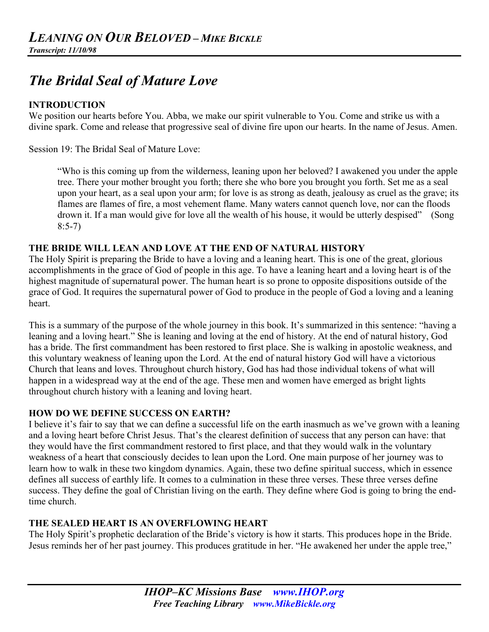# *The Bridal Seal of Mature Love*

#### **INTRODUCTION**

We position our hearts before You. Abba, we make our spirit vulnerable to You. Come and strike us with a divine spark. Come and release that progressive seal of divine fire upon our hearts. In the name of Jesus. Amen.

Session 19: The Bridal Seal of Mature Love:

"Who is this coming up from the wilderness, leaning upon her beloved? I awakened you under the apple tree. There your mother brought you forth; there she who bore you brought you forth. Set me as a seal upon your heart, as a seal upon your arm; for love is as strong as death, jealousy as cruel as the grave; its flames are flames of fire, a most vehement flame. Many waters cannot quench love, nor can the floods drown it. If a man would give for love all the wealth of his house, it would be utterly despised" (Song 8:5-7)

#### **THE BRIDE WILL LEAN AND LOVE AT THE END OF NATURAL HISTORY**

The Holy Spirit is preparing the Bride to have a loving and a leaning heart. This is one of the great, glorious accomplishments in the grace of God of people in this age. To have a leaning heart and a loving heart is of the highest magnitude of supernatural power. The human heart is so prone to opposite dispositions outside of the grace of God. It requires the supernatural power of God to produce in the people of God a loving and a leaning heart.

This is a summary of the purpose of the whole journey in this book. It's summarized in this sentence: "having a leaning and a loving heart." She is leaning and loving at the end of history. At the end of natural history, God has a bride. The first commandment has been restored to first place. She is walking in apostolic weakness, and this voluntary weakness of leaning upon the Lord. At the end of natural history God will have a victorious Church that leans and loves. Throughout church history, God has had those individual tokens of what will happen in a widespread way at the end of the age. These men and women have emerged as bright lights throughout church history with a leaning and loving heart.

#### **HOW DO WE DEFINE SUCCESS ON EARTH?**

I believe it's fair to say that we can define a successful life on the earth inasmuch as we've grown with a leaning and a loving heart before Christ Jesus. That's the clearest definition of success that any person can have: that they would have the first commandment restored to first place, and that they would walk in the voluntary weakness of a heart that consciously decides to lean upon the Lord. One main purpose of her journey was to learn how to walk in these two kingdom dynamics. Again, these two define spiritual success, which in essence defines all success of earthly life. It comes to a culmination in these three verses. These three verses define success. They define the goal of Christian living on the earth. They define where God is going to bring the endtime church.

#### **THE SEALED HEART IS AN OVERFLOWING HEART**

The Holy Spirit's prophetic declaration of the Bride's victory is how it starts. This produces hope in the Bride. Jesus reminds her of her past journey. This produces gratitude in her. "He awakened her under the apple tree,"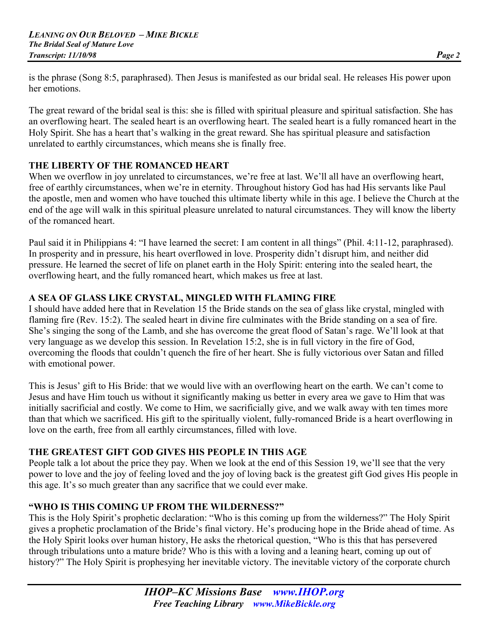is the phrase (Song 8:5, paraphrased). Then Jesus is manifested as our bridal seal. He releases His power upon her emotions.

The great reward of the bridal seal is this: she is filled with spiritual pleasure and spiritual satisfaction. She has an overflowing heart. The sealed heart is an overflowing heart. The sealed heart is a fully romanced heart in the Holy Spirit. She has a heart that's walking in the great reward. She has spiritual pleasure and satisfaction unrelated to earthly circumstances, which means she is finally free.

# **THE LIBERTY OF THE ROMANCED HEART**

When we overflow in joy unrelated to circumstances, we're free at last. We'll all have an overflowing heart, free of earthly circumstances, when we're in eternity. Throughout history God has had His servants like Paul the apostle, men and women who have touched this ultimate liberty while in this age. I believe the Church at the end of the age will walk in this spiritual pleasure unrelated to natural circumstances. They will know the liberty of the romanced heart.

Paul said it in Philippians 4: "I have learned the secret: I am content in all things" (Phil. 4:11-12, paraphrased). In prosperity and in pressure, his heart overflowed in love. Prosperity didn't disrupt him, and neither did pressure. He learned the secret of life on planet earth in the Holy Spirit: entering into the sealed heart, the overflowing heart, and the fully romanced heart, which makes us free at last.

# **A SEA OF GLASS LIKE CRYSTAL, MINGLED WITH FLAMING FIRE**

I should have added here that in Revelation 15 the Bride stands on the sea of glass like crystal, mingled with flaming fire (Rev. 15:2). The sealed heart in divine fire culminates with the Bride standing on a sea of fire. She's singing the song of the Lamb, and she has overcome the great flood of Satan's rage. We'll look at that very language as we develop this session. In Revelation 15:2, she is in full victory in the fire of God, overcoming the floods that couldn't quench the fire of her heart. She is fully victorious over Satan and filled with emotional power.

This is Jesus' gift to His Bride: that we would live with an overflowing heart on the earth. We can't come to Jesus and have Him touch us without it significantly making us better in every area we gave to Him that was initially sacrificial and costly. We come to Him, we sacrificially give, and we walk away with ten times more than that which we sacrificed. His gift to the spiritually violent, fully-romanced Bride is a heart overflowing in love on the earth, free from all earthly circumstances, filled with love.

# **THE GREATEST GIFT GOD GIVES HIS PEOPLE IN THIS AGE**

People talk a lot about the price they pay. When we look at the end of this Session 19, we'll see that the very power to love and the joy of feeling loved and the joy of loving back is the greatest gift God gives His people in this age. It's so much greater than any sacrifice that we could ever make.

# **"WHO IS THIS COMING UP FROM THE WILDERNESS?"**

This is the Holy Spirit's prophetic declaration: "Who is this coming up from the wilderness?" The Holy Spirit gives a prophetic proclamation of the Bride's final victory. He's producing hope in the Bride ahead of time. As the Holy Spirit looks over human history, He asks the rhetorical question, "Who is this that has persevered through tribulations unto a mature bride? Who is this with a loving and a leaning heart, coming up out of history?" The Holy Spirit is prophesying her inevitable victory. The inevitable victory of the corporate church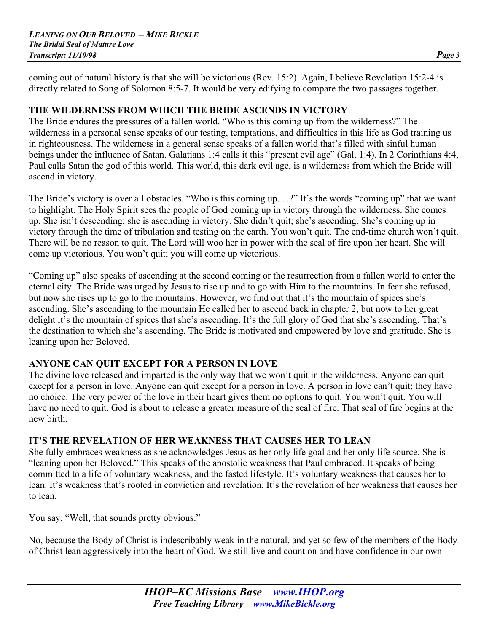coming out of natural history is that she will be victorious (Rev. 15:2). Again, I believe Revelation 15:2-4 is directly related to Song of Solomon 8:5-7. It would be very edifying to compare the two passages together.

#### **THE WILDERNESS FROM WHICH THE BRIDE ASCENDS IN VICTORY**

The Bride endures the pressures of a fallen world. "Who is this coming up from the wilderness?" The wilderness in a personal sense speaks of our testing, temptations, and difficulties in this life as God training us in righteousness. The wilderness in a general sense speaks of a fallen world that's filled with sinful human beings under the influence of Satan. Galatians 1:4 calls it this "present evil age" (Gal. 1:4). In 2 Corinthians 4:4, Paul calls Satan the god of this world. This world, this dark evil age, is a wilderness from which the Bride will ascend in victory.

The Bride's victory is over all obstacles. "Who is this coming up. . .?" It's the words "coming up" that we want to highlight. The Holy Spirit sees the people of God coming up in victory through the wilderness. She comes up. She isn't descending; she is ascending in victory. She didn't quit; she's ascending. She's coming up in victory through the time of tribulation and testing on the earth. You won't quit. The end-time church won't quit. There will be no reason to quit. The Lord will woo her in power with the seal of fire upon her heart. She will come up victorious. You won't quit; you will come up victorious.

"Coming up" also speaks of ascending at the second coming or the resurrection from a fallen world to enter the eternal city. The Bride was urged by Jesus to rise up and to go with Him to the mountains. In fear she refused, but now she rises up to go to the mountains. However, we find out that it's the mountain of spices she's ascending. She's ascending to the mountain He called her to ascend back in chapter 2, but now to her great delight it's the mountain of spices that she's ascending. It's the full glory of God that she's ascending. That's the destination to which she's ascending. The Bride is motivated and empowered by love and gratitude. She is leaning upon her Beloved.

#### **ANYONE CAN QUIT EXCEPT FOR A PERSON IN LOVE**

The divine love released and imparted is the only way that we won't quit in the wilderness. Anyone can quit except for a person in love. Anyone can quit except for a person in love. A person in love can't quit; they have no choice. The very power of the love in their heart gives them no options to quit. You won't quit. You will have no need to quit. God is about to release a greater measure of the seal of fire. That seal of fire begins at the new birth.

#### **IT'S THE REVELATION OF HER WEAKNESS THAT CAUSES HER TO LEAN**

She fully embraces weakness as she acknowledges Jesus as her only life goal and her only life source. She is "leaning upon her Beloved." This speaks of the apostolic weakness that Paul embraced. It speaks of being committed to a life of voluntary weakness, and the fasted lifestyle. It's voluntary weakness that causes her to lean. It's weakness that's rooted in conviction and revelation. It's the revelation of her weakness that causes her to lean.

You say, "Well, that sounds pretty obvious."

No, because the Body of Christ is indescribably weak in the natural, and yet so few of the members of the Body of Christ lean aggressively into the heart of God. We still live and count on and have confidence in our own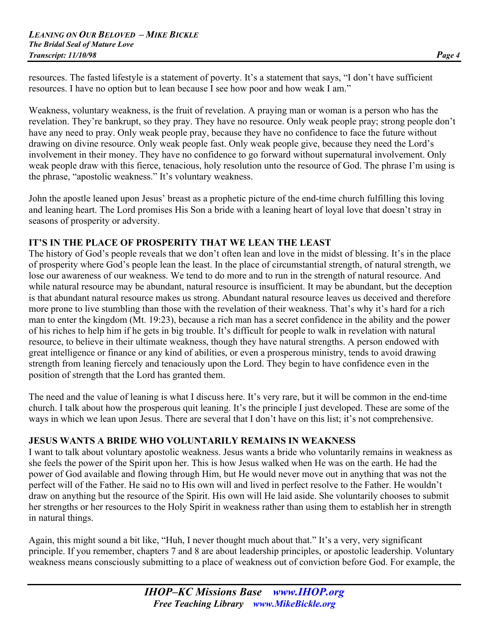resources. The fasted lifestyle is a statement of poverty. It's a statement that says, "I don't have sufficient resources. I have no option but to lean because I see how poor and how weak I am."

Weakness, voluntary weakness, is the fruit of revelation. A praying man or woman is a person who has the revelation. They're bankrupt, so they pray. They have no resource. Only weak people pray; strong people don't have any need to pray. Only weak people pray, because they have no confidence to face the future without drawing on divine resource. Only weak people fast. Only weak people give, because they need the Lord's involvement in their money. They have no confidence to go forward without supernatural involvement. Only weak people draw with this fierce, tenacious, holy resolution unto the resource of God. The phrase I'm using is the phrase, "apostolic weakness." It's voluntary weakness.

John the apostle leaned upon Jesus' breast as a prophetic picture of the end-time church fulfilling this loving and leaning heart. The Lord promises His Son a bride with a leaning heart of loyal love that doesn't stray in seasons of prosperity or adversity.

#### **IT'S IN THE PLACE OF PROSPERITY THAT WE LEAN THE LEAST**

The history of God's people reveals that we don't often lean and love in the midst of blessing. It's in the place of prosperity where God's people lean the least. In the place of circumstantial strength, of natural strength, we lose our awareness of our weakness. We tend to do more and to run in the strength of natural resource. And while natural resource may be abundant, natural resource is insufficient. It may be abundant, but the deception is that abundant natural resource makes us strong. Abundant natural resource leaves us deceived and therefore more prone to live stumbling than those with the revelation of their weakness. That's why it's hard for a rich man to enter the kingdom (Mt. 19:23), because a rich man has a secret confidence in the ability and the power of his riches to help him if he gets in big trouble. It's difficult for people to walk in revelation with natural resource, to believe in their ultimate weakness, though they have natural strengths. A person endowed with great intelligence or finance or any kind of abilities, or even a prosperous ministry, tends to avoid drawing strength from leaning fiercely and tenaciously upon the Lord. They begin to have confidence even in the position of strength that the Lord has granted them.

The need and the value of leaning is what I discuss here. It's very rare, but it will be common in the end-time church. I talk about how the prosperous quit leaning. It's the principle I just developed. These are some of the ways in which we lean upon Jesus. There are several that I don't have on this list; it's not comprehensive.

#### **JESUS WANTS A BRIDE WHO VOLUNTARILY REMAINS IN WEAKNESS**

I want to talk about voluntary apostolic weakness. Jesus wants a bride who voluntarily remains in weakness as she feels the power of the Spirit upon her. This is how Jesus walked when He was on the earth. He had the power of God available and flowing through Him, but He would never move out in anything that was not the perfect will of the Father. He said no to His own will and lived in perfect resolve to the Father. He wouldn't draw on anything but the resource of the Spirit. His own will He laid aside. She voluntarily chooses to submit her strengths or her resources to the Holy Spirit in weakness rather than using them to establish her in strength in natural things.

Again, this might sound a bit like, "Huh, I never thought much about that." It's a very, very significant principle. If you remember, chapters 7 and 8 are about leadership principles, or apostolic leadership. Voluntary weakness means consciously submitting to a place of weakness out of conviction before God. For example, the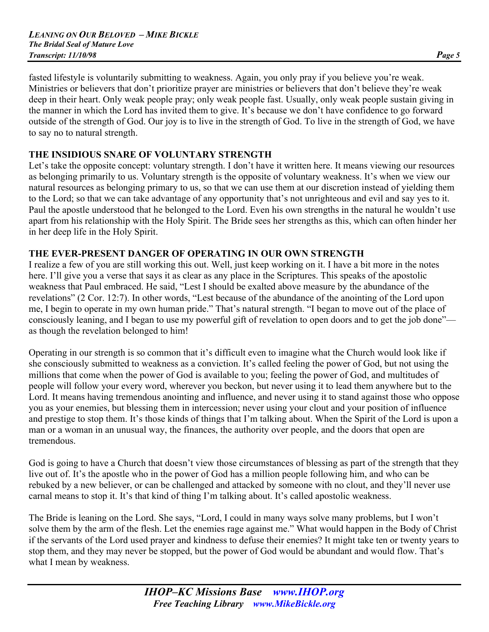fasted lifestyle is voluntarily submitting to weakness. Again, you only pray if you believe you're weak. Ministries or believers that don't prioritize prayer are ministries or believers that don't believe they're weak deep in their heart. Only weak people pray; only weak people fast. Usually, only weak people sustain giving in the manner in which the Lord has invited them to give. It's because we don't have confidence to go forward outside of the strength of God. Our joy is to live in the strength of God. To live in the strength of God, we have to say no to natural strength.

#### **THE INSIDIOUS SNARE OF VOLUNTARY STRENGTH**

Let's take the opposite concept: voluntary strength. I don't have it written here. It means viewing our resources as belonging primarily to us. Voluntary strength is the opposite of voluntary weakness. It's when we view our natural resources as belonging primary to us, so that we can use them at our discretion instead of yielding them to the Lord; so that we can take advantage of any opportunity that's not unrighteous and evil and say yes to it. Paul the apostle understood that he belonged to the Lord. Even his own strengths in the natural he wouldn't use apart from his relationship with the Holy Spirit. The Bride sees her strengths as this, which can often hinder her in her deep life in the Holy Spirit.

#### **THE EVER-PRESENT DANGER OF OPERATING IN OUR OWN STRENGTH**

I realize a few of you are still working this out. Well, just keep working on it. I have a bit more in the notes here. I'll give you a verse that says it as clear as any place in the Scriptures. This speaks of the apostolic weakness that Paul embraced. He said, "Lest I should be exalted above measure by the abundance of the revelations" (2 Cor. 12:7). In other words, "Lest because of the abundance of the anointing of the Lord upon me, I begin to operate in my own human pride." That's natural strength. "I began to move out of the place of consciously leaning, and I began to use my powerful gift of revelation to open doors and to get the job done" as though the revelation belonged to him!

Operating in our strength is so common that it's difficult even to imagine what the Church would look like if she consciously submitted to weakness as a conviction. It's called feeling the power of God, but not using the millions that come when the power of God is available to you; feeling the power of God, and multitudes of people will follow your every word, wherever you beckon, but never using it to lead them anywhere but to the Lord. It means having tremendous anointing and influence, and never using it to stand against those who oppose you as your enemies, but blessing them in intercession; never using your clout and your position of influence and prestige to stop them. It's those kinds of things that I'm talking about. When the Spirit of the Lord is upon a man or a woman in an unusual way, the finances, the authority over people, and the doors that open are tremendous.

God is going to have a Church that doesn't view those circumstances of blessing as part of the strength that they live out of. It's the apostle who in the power of God has a million people following him, and who can be rebuked by a new believer, or can be challenged and attacked by someone with no clout, and they'll never use carnal means to stop it. It's that kind of thing I'm talking about. It's called apostolic weakness.

The Bride is leaning on the Lord. She says, "Lord, I could in many ways solve many problems, but I won't solve them by the arm of the flesh. Let the enemies rage against me." What would happen in the Body of Christ if the servants of the Lord used prayer and kindness to defuse their enemies? It might take ten or twenty years to stop them, and they may never be stopped, but the power of God would be abundant and would flow. That's what I mean by weakness.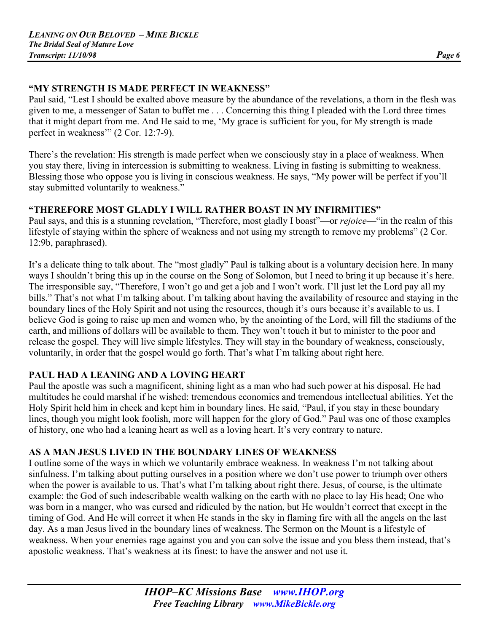#### **"MY STRENGTH IS MADE PERFECT IN WEAKNESS"**

Paul said, "Lest I should be exalted above measure by the abundance of the revelations, a thorn in the flesh was given to me, a messenger of Satan to buffet me . . . Concerning this thing I pleaded with the Lord three times that it might depart from me. And He said to me, 'My grace is sufficient for you, for My strength is made perfect in weakness'" (2 Cor. 12:7-9).

There's the revelation: His strength is made perfect when we consciously stay in a place of weakness. When you stay there, living in intercession is submitting to weakness. Living in fasting is submitting to weakness. Blessing those who oppose you is living in conscious weakness. He says, "My power will be perfect if you'll stay submitted voluntarily to weakness."

#### **"THEREFORE MOST GLADLY I WILL RATHER BOAST IN MY INFIRMITIES"**

Paul says, and this is a stunning revelation, "Therefore, most gladly I boast"—or *rejoice*—"in the realm of this lifestyle of staying within the sphere of weakness and not using my strength to remove my problems" (2 Cor. 12:9b, paraphrased).

It's a delicate thing to talk about. The "most gladly" Paul is talking about is a voluntary decision here. In many ways I shouldn't bring this up in the course on the Song of Solomon, but I need to bring it up because it's here. The irresponsible say, "Therefore, I won't go and get a job and I won't work. I'll just let the Lord pay all my bills." That's not what I'm talking about. I'm talking about having the availability of resource and staying in the boundary lines of the Holy Spirit and not using the resources, though it's ours because it's available to us. I believe God is going to raise up men and women who, by the anointing of the Lord, will fill the stadiums of the earth, and millions of dollars will be available to them. They won't touch it but to minister to the poor and release the gospel. They will live simple lifestyles. They will stay in the boundary of weakness, consciously, voluntarily, in order that the gospel would go forth. That's what I'm talking about right here.

#### **PAUL HAD A LEANING AND A LOVING HEART**

Paul the apostle was such a magnificent, shining light as a man who had such power at his disposal. He had multitudes he could marshal if he wished: tremendous economics and tremendous intellectual abilities. Yet the Holy Spirit held him in check and kept him in boundary lines. He said, "Paul, if you stay in these boundary lines, though you might look foolish, more will happen for the glory of God." Paul was one of those examples of history, one who had a leaning heart as well as a loving heart. It's very contrary to nature.

#### **AS A MAN JESUS LIVED IN THE BOUNDARY LINES OF WEAKNESS**

I outline some of the ways in which we voluntarily embrace weakness. In weakness I'm not talking about sinfulness. I'm talking about putting ourselves in a position where we don't use power to triumph over others when the power is available to us. That's what I'm talking about right there. Jesus, of course, is the ultimate example: the God of such indescribable wealth walking on the earth with no place to lay His head; One who was born in a manger, who was cursed and ridiculed by the nation, but He wouldn't correct that except in the timing of God. And He will correct it when He stands in the sky in flaming fire with all the angels on the last day. As a man Jesus lived in the boundary lines of weakness. The Sermon on the Mount is a lifestyle of weakness. When your enemies rage against you and you can solve the issue and you bless them instead, that's apostolic weakness. That's weakness at its finest: to have the answer and not use it.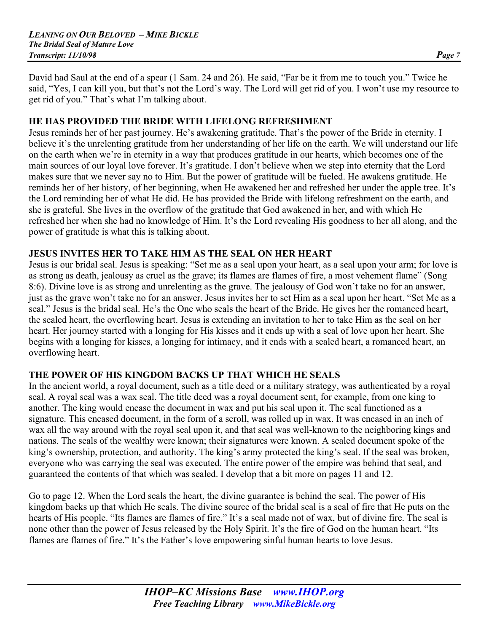David had Saul at the end of a spear (1 Sam. 24 and 26). He said, "Far be it from me to touch you." Twice he said, "Yes, I can kill you, but that's not the Lord's way. The Lord will get rid of you. I won't use my resource to get rid of you." That's what I'm talking about.

#### **HE HAS PROVIDED THE BRIDE WITH LIFELONG REFRESHMENT**

Jesus reminds her of her past journey. He's awakening gratitude. That's the power of the Bride in eternity. I believe it's the unrelenting gratitude from her understanding of her life on the earth. We will understand our life on the earth when we're in eternity in a way that produces gratitude in our hearts, which becomes one of the main sources of our loyal love forever. It's gratitude. I don't believe when we step into eternity that the Lord makes sure that we never say no to Him. But the power of gratitude will be fueled. He awakens gratitude. He reminds her of her history, of her beginning, when He awakened her and refreshed her under the apple tree. It's the Lord reminding her of what He did. He has provided the Bride with lifelong refreshment on the earth, and she is grateful. She lives in the overflow of the gratitude that God awakened in her, and with which He refreshed her when she had no knowledge of Him. It's the Lord revealing His goodness to her all along, and the power of gratitude is what this is talking about.

#### **JESUS INVITES HER TO TAKE HIM AS THE SEAL ON HER HEART**

Jesus is our bridal seal. Jesus is speaking: "Set me as a seal upon your heart, as a seal upon your arm; for love is as strong as death, jealousy as cruel as the grave; its flames are flames of fire, a most vehement flame" (Song 8:6). Divine love is as strong and unrelenting as the grave. The jealousy of God won't take no for an answer, just as the grave won't take no for an answer. Jesus invites her to set Him as a seal upon her heart. "Set Me as a seal." Jesus is the bridal seal. He's the One who seals the heart of the Bride. He gives her the romanced heart, the sealed heart, the overflowing heart. Jesus is extending an invitation to her to take Him as the seal on her heart. Her journey started with a longing for His kisses and it ends up with a seal of love upon her heart. She begins with a longing for kisses, a longing for intimacy, and it ends with a sealed heart, a romanced heart, an overflowing heart.

#### **THE POWER OF HIS KINGDOM BACKS UP THAT WHICH HE SEALS**

In the ancient world, a royal document, such as a title deed or a military strategy, was authenticated by a royal seal. A royal seal was a wax seal. The title deed was a royal document sent, for example, from one king to another. The king would encase the document in wax and put his seal upon it. The seal functioned as a signature. This encased document, in the form of a scroll, was rolled up in wax. It was encased in an inch of wax all the way around with the royal seal upon it, and that seal was well-known to the neighboring kings and nations. The seals of the wealthy were known; their signatures were known. A sealed document spoke of the king's ownership, protection, and authority. The king's army protected the king's seal. If the seal was broken, everyone who was carrying the seal was executed. The entire power of the empire was behind that seal, and guaranteed the contents of that which was sealed. I develop that a bit more on pages 11 and 12.

Go to page 12. When the Lord seals the heart, the divine guarantee is behind the seal. The power of His kingdom backs up that which He seals. The divine source of the bridal seal is a seal of fire that He puts on the hearts of His people. "Its flames are flames of fire." It's a seal made not of wax, but of divine fire. The seal is none other than the power of Jesus released by the Holy Spirit. It's the fire of God on the human heart. "Its flames are flames of fire." It's the Father's love empowering sinful human hearts to love Jesus.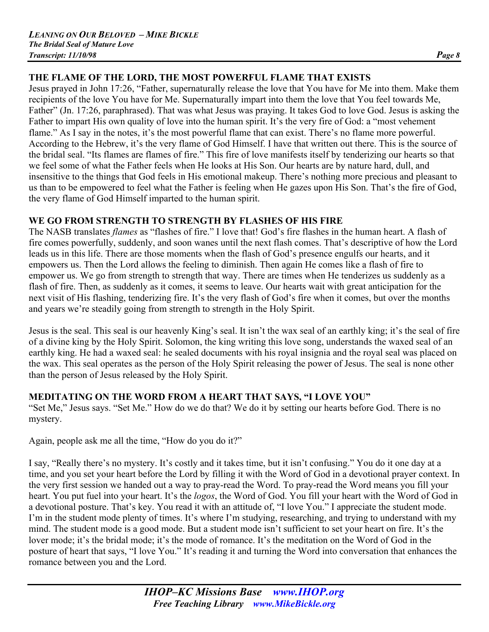# **THE FLAME OF THE LORD, THE MOST POWERFUL FLAME THAT EXISTS**

Jesus prayed in John 17:26, "Father, supernaturally release the love that You have for Me into them. Make them recipients of the love You have for Me. Supernaturally impart into them the love that You feel towards Me, Father" (Jn. 17:26, paraphrased). That was what Jesus was praying. It takes God to love God. Jesus is asking the Father to impart His own quality of love into the human spirit. It's the very fire of God: a "most vehement flame." As I say in the notes, it's the most powerful flame that can exist. There's no flame more powerful. According to the Hebrew, it's the very flame of God Himself. I have that written out there. This is the source of the bridal seal. "Its flames are flames of fire." This fire of love manifests itself by tenderizing our hearts so that we feel some of what the Father feels when He looks at His Son. Our hearts are by nature hard, dull, and insensitive to the things that God feels in His emotional makeup. There's nothing more precious and pleasant to us than to be empowered to feel what the Father is feeling when He gazes upon His Son. That's the fire of God, the very flame of God Himself imparted to the human spirit.

#### **WE GO FROM STRENGTH TO STRENGTH BY FLASHES OF HIS FIRE**

The NASB translates *flames* as "flashes of fire." I love that! God's fire flashes in the human heart. A flash of fire comes powerfully, suddenly, and soon wanes until the next flash comes. That's descriptive of how the Lord leads us in this life. There are those moments when the flash of God's presence engulfs our hearts, and it empowers us. Then the Lord allows the feeling to diminish. Then again He comes like a flash of fire to empower us. We go from strength to strength that way. There are times when He tenderizes us suddenly as a flash of fire. Then, as suddenly as it comes, it seems to leave. Our hearts wait with great anticipation for the next visit of His flashing, tenderizing fire. It's the very flash of God's fire when it comes, but over the months and years we're steadily going from strength to strength in the Holy Spirit.

Jesus is the seal. This seal is our heavenly King's seal. It isn't the wax seal of an earthly king; it's the seal of fire of a divine king by the Holy Spirit. Solomon, the king writing this love song, understands the waxed seal of an earthly king. He had a waxed seal: he sealed documents with his royal insignia and the royal seal was placed on the wax. This seal operates as the person of the Holy Spirit releasing the power of Jesus. The seal is none other than the person of Jesus released by the Holy Spirit.

#### **MEDITATING ON THE WORD FROM A HEART THAT SAYS, "I LOVE YOU"**

"Set Me," Jesus says. "Set Me." How do we do that? We do it by setting our hearts before God. There is no mystery.

Again, people ask me all the time, "How do you do it?"

I say, "Really there's no mystery. It's costly and it takes time, but it isn't confusing." You do it one day at a time, and you set your heart before the Lord by filling it with the Word of God in a devotional prayer context. In the very first session we handed out a way to pray-read the Word. To pray-read the Word means you fill your heart. You put fuel into your heart. It's the *logos*, the Word of God. You fill your heart with the Word of God in a devotional posture. That's key. You read it with an attitude of, "I love You." I appreciate the student mode. I'm in the student mode plenty of times. It's where I'm studying, researching, and trying to understand with my mind. The student mode is a good mode. But a student mode isn't sufficient to set your heart on fire. It's the lover mode; it's the bridal mode; it's the mode of romance. It's the meditation on the Word of God in the posture of heart that says, "I love You." It's reading it and turning the Word into conversation that enhances the romance between you and the Lord.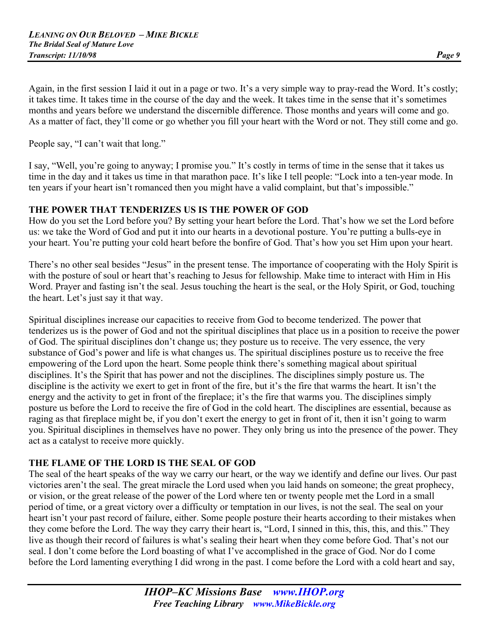Again, in the first session I laid it out in a page or two. It's a very simple way to pray-read the Word. It's costly; it takes time. It takes time in the course of the day and the week. It takes time in the sense that it's sometimes months and years before we understand the discernible difference. Those months and years will come and go. As a matter of fact, they'll come or go whether you fill your heart with the Word or not. They still come and go.

People say, "I can't wait that long."

I say, "Well, you're going to anyway; I promise you." It's costly in terms of time in the sense that it takes us time in the day and it takes us time in that marathon pace. It's like I tell people: "Lock into a ten-year mode. In ten years if your heart isn't romanced then you might have a valid complaint, but that's impossible."

#### **THE POWER THAT TENDERIZES US IS THE POWER OF GOD**

How do you set the Lord before you? By setting your heart before the Lord. That's how we set the Lord before us: we take the Word of God and put it into our hearts in a devotional posture. You're putting a bulls-eye in your heart. You're putting your cold heart before the bonfire of God. That's how you set Him upon your heart.

There's no other seal besides "Jesus" in the present tense. The importance of cooperating with the Holy Spirit is with the posture of soul or heart that's reaching to Jesus for fellowship. Make time to interact with Him in His Word. Prayer and fasting isn't the seal. Jesus touching the heart is the seal, or the Holy Spirit, or God, touching the heart. Let's just say it that way.

Spiritual disciplines increase our capacities to receive from God to become tenderized. The power that tenderizes us is the power of God and not the spiritual disciplines that place us in a position to receive the power of God. The spiritual disciplines don't change us; they posture us to receive. The very essence, the very substance of God's power and life is what changes us. The spiritual disciplines posture us to receive the free empowering of the Lord upon the heart. Some people think there's something magical about spiritual disciplines. It's the Spirit that has power and not the disciplines. The disciplines simply posture us. The discipline is the activity we exert to get in front of the fire, but it's the fire that warms the heart. It isn't the energy and the activity to get in front of the fireplace; it's the fire that warms you. The disciplines simply posture us before the Lord to receive the fire of God in the cold heart. The disciplines are essential, because as raging as that fireplace might be, if you don't exert the energy to get in front of it, then it isn't going to warm you. Spiritual disciplines in themselves have no power. They only bring us into the presence of the power. They act as a catalyst to receive more quickly.

#### **THE FLAME OF THE LORD IS THE SEAL OF GOD**

The seal of the heart speaks of the way we carry our heart, or the way we identify and define our lives. Our past victories aren't the seal. The great miracle the Lord used when you laid hands on someone; the great prophecy, or vision, or the great release of the power of the Lord where ten or twenty people met the Lord in a small period of time, or a great victory over a difficulty or temptation in our lives, is not the seal. The seal on your heart isn't your past record of failure, either. Some people posture their hearts according to their mistakes when they come before the Lord. The way they carry their heart is, "Lord, I sinned in this, this, this, and this." They live as though their record of failures is what's sealing their heart when they come before God. That's not our seal. I don't come before the Lord boasting of what I've accomplished in the grace of God. Nor do I come before the Lord lamenting everything I did wrong in the past. I come before the Lord with a cold heart and say,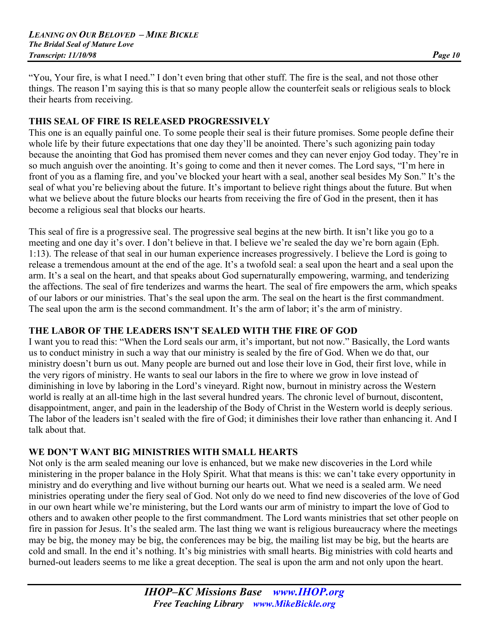"You, Your fire, is what I need." I don't even bring that other stuff. The fire is the seal, and not those other things. The reason I'm saying this is that so many people allow the counterfeit seals or religious seals to block their hearts from receiving.

#### **THIS SEAL OF FIRE IS RELEASED PROGRESSIVELY**

This one is an equally painful one. To some people their seal is their future promises. Some people define their whole life by their future expectations that one day they'll be anointed. There's such agonizing pain today because the anointing that God has promised them never comes and they can never enjoy God today. They're in so much anguish over the anointing. It's going to come and then it never comes. The Lord says, "I'm here in front of you as a flaming fire, and you've blocked your heart with a seal, another seal besides My Son." It's the seal of what you're believing about the future. It's important to believe right things about the future. But when what we believe about the future blocks our hearts from receiving the fire of God in the present, then it has become a religious seal that blocks our hearts.

This seal of fire is a progressive seal. The progressive seal begins at the new birth. It isn't like you go to a meeting and one day it's over. I don't believe in that. I believe we're sealed the day we're born again (Eph. 1:13). The release of that seal in our human experience increases progressively. I believe the Lord is going to release a tremendous amount at the end of the age. It's a twofold seal: a seal upon the heart and a seal upon the arm. It's a seal on the heart, and that speaks about God supernaturally empowering, warming, and tenderizing the affections. The seal of fire tenderizes and warms the heart. The seal of fire empowers the arm, which speaks of our labors or our ministries. That's the seal upon the arm. The seal on the heart is the first commandment. The seal upon the arm is the second commandment. It's the arm of labor; it's the arm of ministry.

# **THE LABOR OF THE LEADERS ISN'T SEALED WITH THE FIRE OF GOD**

I want you to read this: "When the Lord seals our arm, it's important, but not now." Basically, the Lord wants us to conduct ministry in such a way that our ministry is sealed by the fire of God. When we do that, our ministry doesn't burn us out. Many people are burned out and lose their love in God, their first love, while in the very rigors of ministry. He wants to seal our labors in the fire to where we grow in love instead of diminishing in love by laboring in the Lord's vineyard. Right now, burnout in ministry across the Western world is really at an all-time high in the last several hundred years. The chronic level of burnout, discontent, disappointment, anger, and pain in the leadership of the Body of Christ in the Western world is deeply serious. The labor of the leaders isn't sealed with the fire of God; it diminishes their love rather than enhancing it. And I talk about that.

#### **WE DON'T WANT BIG MINISTRIES WITH SMALL HEARTS**

Not only is the arm sealed meaning our love is enhanced, but we make new discoveries in the Lord while ministering in the proper balance in the Holy Spirit. What that means is this: we can't take every opportunity in ministry and do everything and live without burning our hearts out. What we need is a sealed arm. We need ministries operating under the fiery seal of God. Not only do we need to find new discoveries of the love of God in our own heart while we're ministering, but the Lord wants our arm of ministry to impart the love of God to others and to awaken other people to the first commandment. The Lord wants ministries that set other people on fire in passion for Jesus. It's the sealed arm. The last thing we want is religious bureaucracy where the meetings may be big, the money may be big, the conferences may be big, the mailing list may be big, but the hearts are cold and small. In the end it's nothing. It's big ministries with small hearts. Big ministries with cold hearts and burned-out leaders seems to me like a great deception. The seal is upon the arm and not only upon the heart.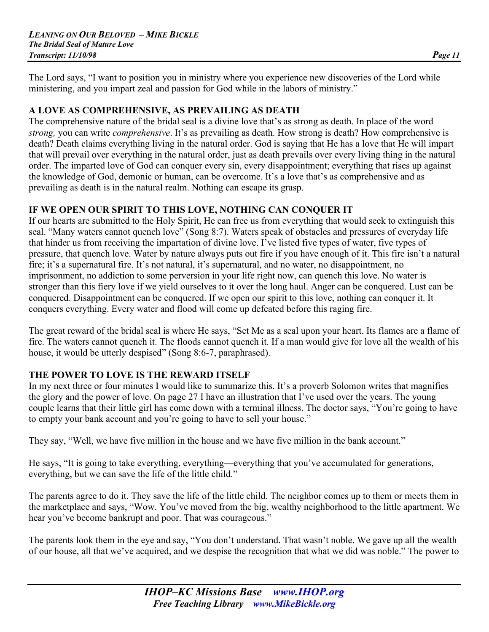The Lord says, "I want to position you in ministry where you experience new discoveries of the Lord while ministering, and you impart zeal and passion for God while in the labors of ministry."

#### **A LOVE AS COMPREHENSIVE, AS PREVAILING AS DEATH**

The comprehensive nature of the bridal seal is a divine love that's as strong as death. In place of the word *strong,* you can write *comprehensive*. It's as prevailing as death. How strong is death? How comprehensive is death? Death claims everything living in the natural order. God is saying that He has a love that He will impart that will prevail over everything in the natural order, just as death prevails over every living thing in the natural order. The imparted love of God can conquer every sin, every disappointment; everything that rises up against the knowledge of God, demonic or human, can be overcome. It's a love that's as comprehensive and as prevailing as death is in the natural realm. Nothing can escape its grasp.

# **IF WE OPEN OUR SPIRIT TO THIS LOVE, NOTHING CAN CONQUER IT**

If our hearts are submitted to the Holy Spirit, He can free us from everything that would seek to extinguish this seal. "Many waters cannot quench love" (Song 8:7). Waters speak of obstacles and pressures of everyday life that hinder us from receiving the impartation of divine love. I've listed five types of water, five types of pressure, that quench love. Water by nature always puts out fire if you have enough of it. This fire isn't a natural fire; it's a supernatural fire. It's not natural, it's supernatural, and no water, no disappointment, no imprisonment, no addiction to some perversion in your life right now, can quench this love. No water is stronger than this fiery love if we yield ourselves to it over the long haul. Anger can be conquered. Lust can be conquered. Disappointment can be conquered. If we open our spirit to this love, nothing can conquer it. It conquers everything. Every water and flood will come up defeated before this raging fire.

The great reward of the bridal seal is where He says, "Set Me as a seal upon your heart. Its flames are a flame of fire. The waters cannot quench it. The floods cannot quench it. If a man would give for love all the wealth of his house, it would be utterly despised" (Song 8:6-7, paraphrased).

# **THE POWER TO LOVE IS THE REWARD ITSELF**

In my next three or four minutes I would like to summarize this. It's a proverb Solomon writes that magnifies the glory and the power of love. On page 27 I have an illustration that I've used over the years. The young couple learns that their little girl has come down with a terminal illness. The doctor says, "You're going to have to empty your bank account and you're going to have to sell your house."

They say, "Well, we have five million in the house and we have five million in the bank account."

He says, "It is going to take everything, everything—everything that you've accumulated for generations, everything, but we can save the life of the little child."

The parents agree to do it. They save the life of the little child. The neighbor comes up to them or meets them in the marketplace and says, "Wow. You've moved from the big, wealthy neighborhood to the little apartment. We hear you've become bankrupt and poor. That was courageous."

The parents look them in the eye and say, "You don't understand. That wasn't noble. We gave up all the wealth of our house, all that we've acquired, and we despise the recognition that what we did was noble." The power to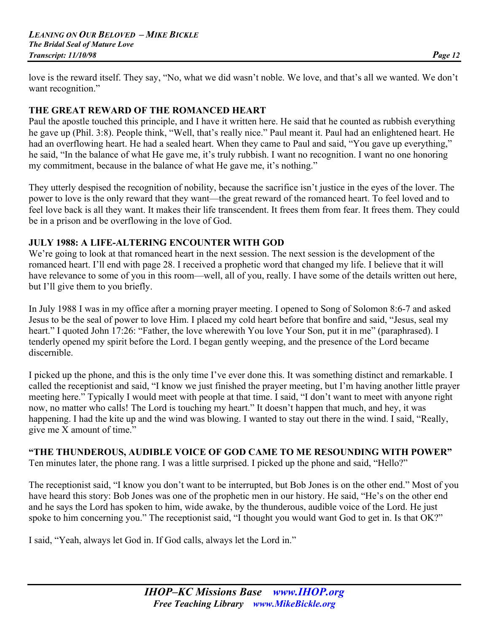love is the reward itself. They say, "No, what we did wasn't noble. We love, and that's all we wanted. We don't want recognition."

#### **THE GREAT REWARD OF THE ROMANCED HEART**

Paul the apostle touched this principle, and I have it written here. He said that he counted as rubbish everything he gave up (Phil. 3:8). People think, "Well, that's really nice." Paul meant it. Paul had an enlightened heart. He had an overflowing heart. He had a sealed heart. When they came to Paul and said, "You gave up everything," he said, "In the balance of what He gave me, it's truly rubbish. I want no recognition. I want no one honoring my commitment, because in the balance of what He gave me, it's nothing."

They utterly despised the recognition of nobility, because the sacrifice isn't justice in the eyes of the lover. The power to love is the only reward that they want—the great reward of the romanced heart. To feel loved and to feel love back is all they want. It makes their life transcendent. It frees them from fear. It frees them. They could be in a prison and be overflowing in the love of God.

#### **JULY 1988: A LIFE-ALTERING ENCOUNTER WITH GOD**

We're going to look at that romanced heart in the next session. The next session is the development of the romanced heart. I'll end with page 28. I received a prophetic word that changed my life. I believe that it will have relevance to some of you in this room—well, all of you, really. I have some of the details written out here, but I'll give them to you briefly.

In July 1988 I was in my office after a morning prayer meeting. I opened to Song of Solomon 8:6-7 and asked Jesus to be the seal of power to love Him. I placed my cold heart before that bonfire and said, "Jesus, seal my heart." I quoted John 17:26: "Father, the love wherewith You love Your Son, put it in me" (paraphrased). I tenderly opened my spirit before the Lord. I began gently weeping, and the presence of the Lord became discernible.

I picked up the phone, and this is the only time I've ever done this. It was something distinct and remarkable. I called the receptionist and said, "I know we just finished the prayer meeting, but I'm having another little prayer meeting here." Typically I would meet with people at that time. I said, "I don't want to meet with anyone right now, no matter who calls! The Lord is touching my heart." It doesn't happen that much, and hey, it was happening. I had the kite up and the wind was blowing. I wanted to stay out there in the wind. I said, "Really, give me X amount of time."

# **"THE THUNDEROUS, AUDIBLE VOICE OF GOD CAME TO ME RESOUNDING WITH POWER"**

Ten minutes later, the phone rang. I was a little surprised. I picked up the phone and said, "Hello?"

The receptionist said, "I know you don't want to be interrupted, but Bob Jones is on the other end." Most of you have heard this story: Bob Jones was one of the prophetic men in our history. He said, "He's on the other end and he says the Lord has spoken to him, wide awake, by the thunderous, audible voice of the Lord. He just spoke to him concerning you." The receptionist said, "I thought you would want God to get in. Is that OK?"

I said, "Yeah, always let God in. If God calls, always let the Lord in."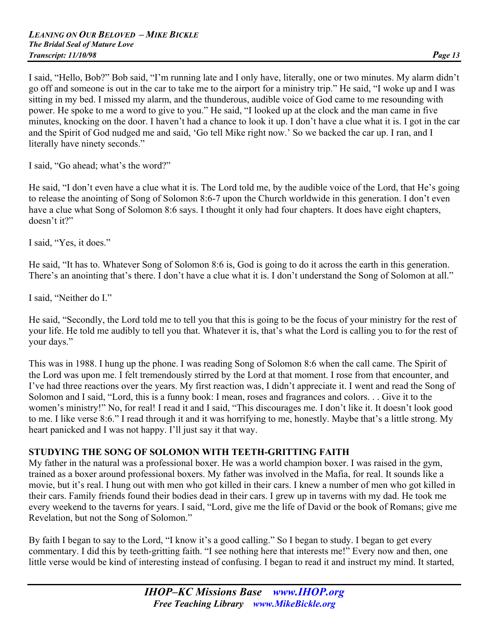I said, "Hello, Bob?" Bob said, "I'm running late and I only have, literally, one or two minutes. My alarm didn't go off and someone is out in the car to take me to the airport for a ministry trip." He said, "I woke up and I was sitting in my bed. I missed my alarm, and the thunderous, audible voice of God came to me resounding with power. He spoke to me a word to give to you." He said, "I looked up at the clock and the man came in five minutes, knocking on the door. I haven't had a chance to look it up. I don't have a clue what it is. I got in the car and the Spirit of God nudged me and said, 'Go tell Mike right now.' So we backed the car up. I ran, and I literally have ninety seconds."

I said, "Go ahead; what's the word?"

He said, "I don't even have a clue what it is. The Lord told me, by the audible voice of the Lord, that He's going to release the anointing of Song of Solomon 8:6-7 upon the Church worldwide in this generation. I don't even have a clue what Song of Solomon 8:6 says. I thought it only had four chapters. It does have eight chapters, doesn't it?"

I said, "Yes, it does."

He said, "It has to. Whatever Song of Solomon 8:6 is, God is going to do it across the earth in this generation. There's an anointing that's there. I don't have a clue what it is. I don't understand the Song of Solomon at all."

I said, "Neither do I."

He said, "Secondly, the Lord told me to tell you that this is going to be the focus of your ministry for the rest of your life. He told me audibly to tell you that. Whatever it is, that's what the Lord is calling you to for the rest of your days."

This was in 1988. I hung up the phone. I was reading Song of Solomon 8:6 when the call came. The Spirit of the Lord was upon me. I felt tremendously stirred by the Lord at that moment. I rose from that encounter, and I've had three reactions over the years. My first reaction was, I didn't appreciate it. I went and read the Song of Solomon and I said, "Lord, this is a funny book: I mean, roses and fragrances and colors. . . Give it to the women's ministry!" No, for real! I read it and I said, "This discourages me. I don't like it. It doesn't look good to me. I like verse 8:6." I read through it and it was horrifying to me, honestly. Maybe that's a little strong. My heart panicked and I was not happy. I'll just say it that way.

#### **STUDYING THE SONG OF SOLOMON WITH TEETH-GRITTING FAITH**

My father in the natural was a professional boxer. He was a world champion boxer. I was raised in the gym, trained as a boxer around professional boxers. My father was involved in the Mafia, for real. It sounds like a movie, but it's real. I hung out with men who got killed in their cars. I knew a number of men who got killed in their cars. Family friends found their bodies dead in their cars. I grew up in taverns with my dad. He took me every weekend to the taverns for years. I said, "Lord, give me the life of David or the book of Romans; give me Revelation, but not the Song of Solomon."

By faith I began to say to the Lord, "I know it's a good calling." So I began to study. I began to get every commentary. I did this by teeth-gritting faith. "I see nothing here that interests me!" Every now and then, one little verse would be kind of interesting instead of confusing. I began to read it and instruct my mind. It started,